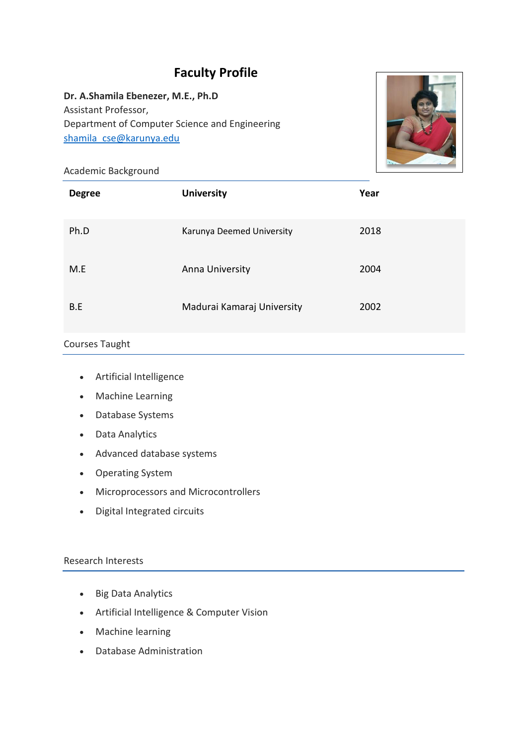# **Faculty Profile**

# **Dr. A.Shamila Ebenezer, M.E., Ph.D** Assistant Professor, Department of Computer Science and Engineering [shamila\\_cse@karunya.edu](mailto:shamila_cse@karunya.edu)



## Academic Background

| <b>Degree</b> | <b>University</b>          | Year |
|---------------|----------------------------|------|
| Ph.D          | Karunya Deemed University  | 2018 |
| M.E           | Anna University            | 2004 |
| B.E           | Madurai Kamaraj University | 2002 |

#### Courses Taught

- Artificial Intelligence
- Machine Learning
- Database Systems
- Data Analytics
- Advanced database systems
- Operating System
- Microprocessors and Microcontrollers
- Digital Integrated circuits

# Research Interests

- Big Data Analytics
- Artificial Intelligence & Computer Vision
- Machine learning
- Database Administration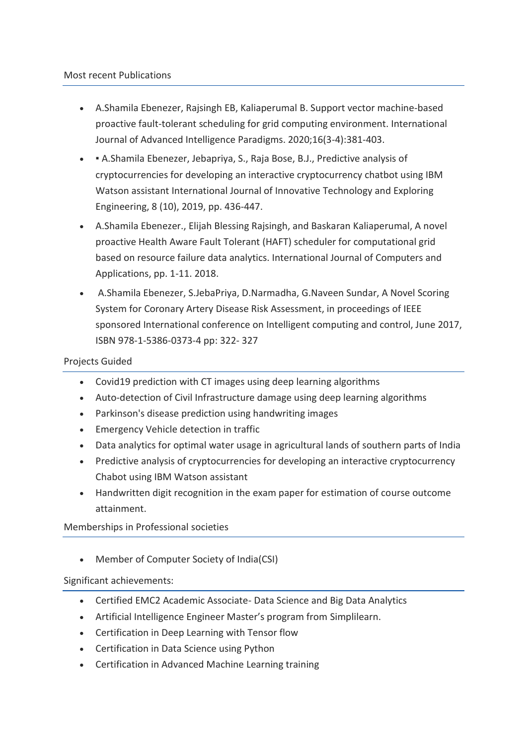- A.Shamila Ebenezer, Rajsingh EB, Kaliaperumal B. Support vector machine-based proactive fault-tolerant scheduling for grid computing environment. International Journal of Advanced Intelligence Paradigms. 2020;16(3-4):381-403.
- A.Shamila Ebenezer, Jebapriya, S., Raja Bose, B.J., Predictive analysis of cryptocurrencies for developing an interactive cryptocurrency chatbot using IBM Watson assistant International Journal of Innovative Technology and Exploring Engineering, 8 (10), 2019, pp. 436-447.
- A.Shamila Ebenezer., Elijah Blessing Rajsingh, and Baskaran Kaliaperumal, A novel proactive Health Aware Fault Tolerant (HAFT) scheduler for computational grid based on resource failure data analytics. International Journal of Computers and Applications, pp. 1-11. 2018.
- A.Shamila Ebenezer, S.JebaPriya, D.Narmadha, G.Naveen Sundar, A Novel Scoring System for Coronary Artery Disease Risk Assessment, in proceedings of IEEE sponsored International conference on Intelligent computing and control, June 2017, ISBN 978-1-5386-0373-4 pp: 322- 327

## Projects Guided

- Covid19 prediction with CT images using deep learning algorithms
- Auto-detection of Civil Infrastructure damage using deep learning algorithms
- Parkinson's disease prediction using handwriting images
- Emergency Vehicle detection in traffic
- Data analytics for optimal water usage in agricultural lands of southern parts of India
- Predictive analysis of cryptocurrencies for developing an interactive cryptocurrency Chabot using IBM Watson assistant
- Handwritten digit recognition in the exam paper for estimation of course outcome attainment.

Memberships in Professional societies

Member of Computer Society of India(CSI)

Significant achievements:

- Certified EMC2 Academic Associate- Data Science and Big Data Analytics
- Artificial Intelligence Engineer Master's program from Simplilearn.
- Certification in Deep Learning with Tensor flow
- Certification in Data Science using Python
- Certification in Advanced Machine Learning training